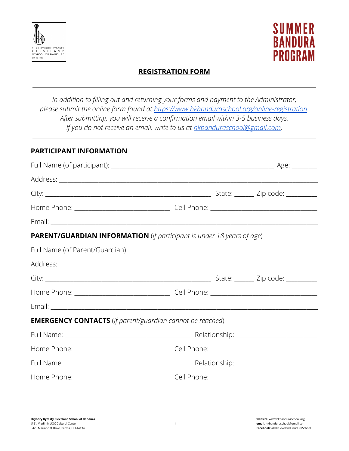



# **REGISTRATION FORM**

*In addition to filling out and returning your forms and payment to the Administrator, please submit the online form found at <https://www.hkbanduraschool.org/online-registration>. After submitting, you will receive a confirmation email within 3-5 business days. If you do not receive an email, write to us at [hkbanduraschool@gmail.com.](mailto:hkbanduraschool@gmail.com)*

#### **PARTICIPANT INFORMATION**

| <b>PARENT/GUARDIAN INFORMATION</b> (if participant is under 18 years of age) |  |  |  |  |  |
|------------------------------------------------------------------------------|--|--|--|--|--|
|                                                                              |  |  |  |  |  |
|                                                                              |  |  |  |  |  |
|                                                                              |  |  |  |  |  |
|                                                                              |  |  |  |  |  |
|                                                                              |  |  |  |  |  |
| <b>EMERGENCY CONTACTS</b> (if parent/guardian cannot be reached)             |  |  |  |  |  |
|                                                                              |  |  |  |  |  |
|                                                                              |  |  |  |  |  |
|                                                                              |  |  |  |  |  |
|                                                                              |  |  |  |  |  |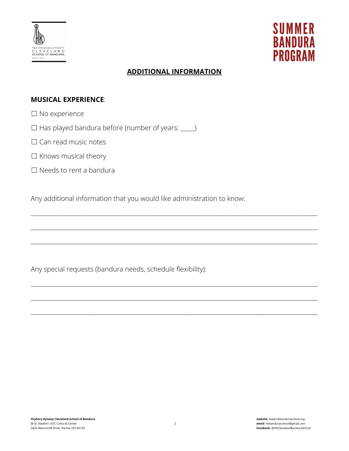



# **ADDITIONAL INFORMATION**

\_\_\_\_\_\_\_\_\_\_\_\_\_\_\_\_\_\_\_\_\_\_\_\_\_\_\_\_\_\_\_\_\_\_\_\_\_\_\_\_\_\_\_\_\_\_\_\_\_\_\_\_\_\_\_\_\_\_\_\_\_\_\_\_\_\_\_\_\_\_\_\_\_\_\_\_\_\_\_\_\_\_\_\_\_\_\_\_\_\_\_\_\_\_\_\_\_\_\_\_\_\_

\_\_\_\_\_\_\_\_\_\_\_\_\_\_\_\_\_\_\_\_\_\_\_\_\_\_\_\_\_\_\_\_\_\_\_\_\_\_\_\_\_\_\_\_\_\_\_\_\_\_\_\_\_\_\_\_\_\_\_\_\_\_\_\_\_\_\_\_\_\_\_\_\_\_\_\_\_\_\_\_\_\_\_\_\_\_\_\_\_\_\_\_\_\_\_\_\_\_\_\_\_\_

\_\_\_\_\_\_\_\_\_\_\_\_\_\_\_\_\_\_\_\_\_\_\_\_\_\_\_\_\_\_\_\_\_\_\_\_\_\_\_\_\_\_\_\_\_\_\_\_\_\_\_\_\_\_\_\_\_\_\_\_\_\_\_\_\_\_\_\_\_\_\_\_\_\_\_\_\_\_\_\_\_\_\_\_\_\_\_\_\_\_\_\_\_\_\_\_\_\_\_\_\_\_

\_\_\_\_\_\_\_\_\_\_\_\_\_\_\_\_\_\_\_\_\_\_\_\_\_\_\_\_\_\_\_\_\_\_\_\_\_\_\_\_\_\_\_\_\_\_\_\_\_\_\_\_\_\_\_\_\_\_\_\_\_\_\_\_\_\_\_\_\_\_\_\_\_\_\_\_\_\_\_\_\_\_\_\_\_\_\_\_\_\_\_\_\_\_\_\_\_\_\_\_\_\_

\_\_\_\_\_\_\_\_\_\_\_\_\_\_\_\_\_\_\_\_\_\_\_\_\_\_\_\_\_\_\_\_\_\_\_\_\_\_\_\_\_\_\_\_\_\_\_\_\_\_\_\_\_\_\_\_\_\_\_\_\_\_\_\_\_\_\_\_\_\_\_\_\_\_\_\_\_\_\_\_\_\_\_\_\_\_\_\_\_\_\_\_\_\_\_\_\_\_\_\_\_\_

\_\_\_\_\_\_\_\_\_\_\_\_\_\_\_\_\_\_\_\_\_\_\_\_\_\_\_\_\_\_\_\_\_\_\_\_\_\_\_\_\_\_\_\_\_\_\_\_\_\_\_\_\_\_\_\_\_\_\_\_\_\_\_\_\_\_\_\_\_\_\_\_\_\_\_\_\_\_\_\_\_\_\_\_\_\_\_\_\_\_\_\_\_\_\_\_\_\_\_\_\_\_

## **MUSICAL EXPERIENCE**:

- ☐ No experience
- $\Box$  Has played bandura before (number of years:  $\Box$ )
- □ Can read music notes
- □ Knows musical theory
- ☐ Needs to rent a bandura

Any additional information that you would like administration to know:

Any special requests (bandura needs, schedule flexibility):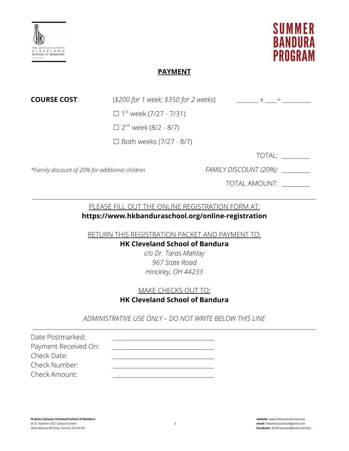



## **PAYMENT**

**COURSE COST**:  $(*200 for 1 week; $350 for 2 weeks)$   $x =$ 

 $\Box$  1<sup>st</sup> week (7/27 - 7/31)

 $\Box$  2<sup>nd</sup> week (8/2 - 8/7)

☐ Both weeks (7/27 - 8/7)

TOTAL: \_\_\_\_\_\_\_\_\_\_

*\*Family discount of 20% for additional children FAMILY DISCOUNT (20%):* \_\_\_\_\_\_\_\_\_\_

TOTAL AMOUNT: \_\_\_\_\_\_\_\_\_\_

# PLEASE FILL OUT THE ONLINE REGISTRATION FORM AT:

# **https://www.hkbanduraschool.org/online-registration**

RETURN THIS REGISTRATION PACKET AND PAYMENT TO:

#### **HK Cleveland School of Bandura**

*c/o Dr. Taras Mahlay 967 State Road Hinckley, OH 44233*

## MAKE CHECKS OUT TO:

## **HK Cleveland School of Bandura**

*ADMINISTRATIVE USE ONLY – DO NOT WRITE BELOW THIS LINE*

Date Postmarked: Payment Received On: Check Date: Check Number: Check Amount: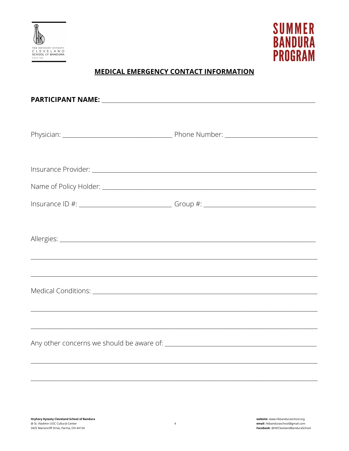



# **MEDICAL EMERGENCY CONTACT INFORMATION**

|  | Insurance ID #: _________________________________Group #: _______________________ |  |  |  |
|--|-----------------------------------------------------------------------------------|--|--|--|
|  |                                                                                   |  |  |  |
|  |                                                                                   |  |  |  |
|  |                                                                                   |  |  |  |
|  |                                                                                   |  |  |  |
|  |                                                                                   |  |  |  |
|  |                                                                                   |  |  |  |
|  |                                                                                   |  |  |  |
|  |                                                                                   |  |  |  |
|  |                                                                                   |  |  |  |
|  |                                                                                   |  |  |  |

 $\overline{4}$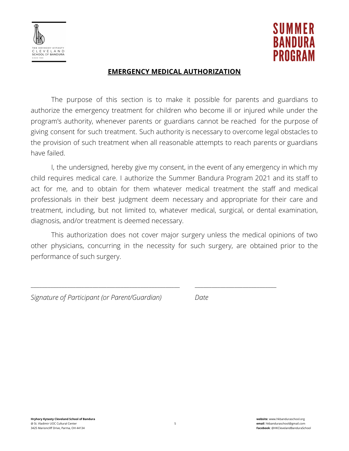



### **EMERGENCY MEDICAL AUTHORIZATION**

The purpose of this section is to make it possible for parents and guardians to authorize the emergency treatment for children who become ill or injured while under the program's authority, whenever parents or guardians cannot be reached for the purpose of giving consent for such treatment. Such authority is necessary to overcome legal obstacles to the provision of such treatment when all reasonable attempts to reach parents or guardians have failed.

I, the undersigned, hereby give my consent, in the event of any emergency in which my child requires medical care. I authorize the Summer Bandura Program 2021 and its staff to act for me, and to obtain for them whatever medical treatment the staff and medical professionals in their best judgment deem necessary and appropriate for their care and treatment, including, but not limited to, whatever medical, surgical, or dental examination, diagnosis, and/or treatment is deemed necessary.

This authorization does not cover major surgery unless the medical opinions of two other physicians, concurring in the necessity for such surgery, are obtained prior to the performance of such surgery.

\_\_\_\_\_\_\_\_\_\_\_\_\_\_\_\_\_\_\_\_\_\_\_\_\_\_\_\_\_\_\_\_\_\_\_\_\_\_\_\_\_\_\_\_\_\_\_\_\_\_\_\_\_ \_\_\_\_\_\_\_\_\_\_\_\_\_\_\_\_\_\_\_\_\_\_\_\_\_\_\_\_\_

|  |  | Signature of Participant (or Parent/Guardian) | Date |
|--|--|-----------------------------------------------|------|
|--|--|-----------------------------------------------|------|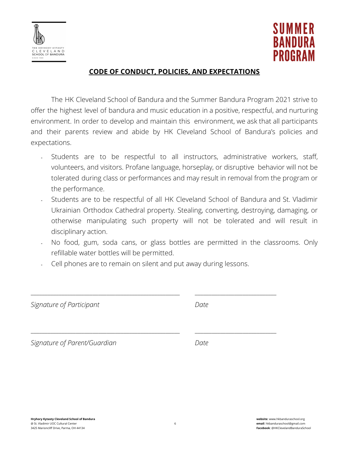



## **CODE OF CONDUCT, POLICIES, AND EXPECTATIONS**

The HK Cleveland School of Bandura and the Summer Bandura Program 2021 strive to offer the highest level of bandura and music education in a positive, respectful, and nurturing environment. In order to develop and maintain this environment, we ask that all participants and their parents review and abide by HK Cleveland School of Bandura's policies and expectations.

- ﹣ Students are to be respectful to all instructors, administrative workers, staff, volunteers, and visitors. Profane language, horseplay, or disruptive behavior will not be tolerated during class or performances and may result in removal from the program or the performance.
- Students are to be respectful of all HK Cleveland School of Bandura and St. Vladimir Ukrainian Orthodox Cathedral property. Stealing, converting, destroying, damaging, or otherwise manipulating such property will not be tolerated and will result in disciplinary action.
- No food, gum, soda cans, or glass bottles are permitted in the classrooms. Only refillable water bottles will be permitted.
- Cell phones are to remain on silent and put away during lessons.

\_\_\_\_\_\_\_\_\_\_\_\_\_\_\_\_\_\_\_\_\_\_\_\_\_\_\_\_\_\_\_\_\_\_\_\_\_\_\_\_\_\_\_\_\_\_\_\_\_\_\_\_\_ \_\_\_\_\_\_\_\_\_\_\_\_\_\_\_\_\_\_\_\_\_\_\_\_\_\_\_\_\_

\_\_\_\_\_\_\_\_\_\_\_\_\_\_\_\_\_\_\_\_\_\_\_\_\_\_\_\_\_\_\_\_\_\_\_\_\_\_\_\_\_\_\_\_\_\_\_\_\_\_\_\_\_ \_\_\_\_\_\_\_\_\_\_\_\_\_\_\_\_\_\_\_\_\_\_\_\_\_\_\_\_\_

*Signature of Participant Date*

*Signature of Parent/Guardian Date*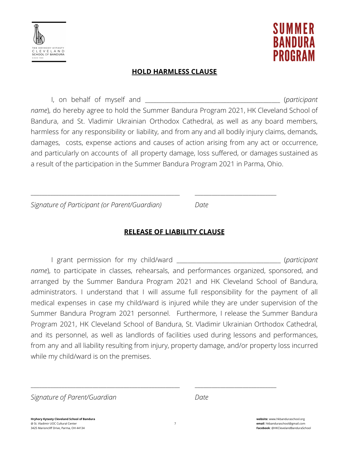



## **HOLD HARMLESS CLAUSE**

I, on behalf of myself and **the same of the set of the set of the set of the set of the set of the set of the set of the set of the set of the set of the set of the set of the set of the set of the set of the set of the se** *name*), do hereby agree to hold the Summer Bandura Program 2021, HK Cleveland School of Bandura, and St. Vladimir Ukrainian Orthodox Cathedral, as well as any board members, harmless for any responsibility or liability, and from any and all bodily injury claims, demands, damages, costs, expense actions and causes of action arising from any act or occurrence, and particularly on accounts of all property damage, loss suffered, or damages sustained as a result of the participation in the Summer Bandura Program 2021 in Parma, Ohio.

*Signature of Participant (or Parent/Guardian) Date*

**RELEASE OF LIABILITY CLAUSE**

\_\_\_\_\_\_\_\_\_\_\_\_\_\_\_\_\_\_\_\_\_\_\_\_\_\_\_\_\_\_\_\_\_\_\_\_\_\_\_\_\_\_\_\_\_\_\_\_\_\_\_\_\_ \_\_\_\_\_\_\_\_\_\_\_\_\_\_\_\_\_\_\_\_\_\_\_\_\_\_\_\_\_

I grant permission for my child/ward \_\_\_\_\_\_\_\_\_\_\_\_\_\_\_\_\_\_\_\_\_\_\_\_\_\_\_\_\_\_\_\_\_\_\_\_\_ (*participant name*), to participate in classes, rehearsals, and performances organized, sponsored, and arranged by the Summer Bandura Program 2021 and HK Cleveland School of Bandura, administrators. I understand that I will assume full responsibility for the payment of all medical expenses in case my child/ward is injured while they are under supervision of the Summer Bandura Program 2021 personnel. Furthermore, I release the Summer Bandura Program 2021, HK Cleveland School of Bandura, St. Vladimir Ukrainian Orthodox Cathedral, and its personnel, as well as landlords of facilities used during lessons and performances, from any and all liability resulting from injury, property damage, and/or property loss incurred while my child/ward is on the premises.

\_\_\_\_\_\_\_\_\_\_\_\_\_\_\_\_\_\_\_\_\_\_\_\_\_\_\_\_\_\_\_\_\_\_\_\_\_\_\_\_\_\_\_\_\_\_\_\_\_\_\_\_\_ \_\_\_\_\_\_\_\_\_\_\_\_\_\_\_\_\_\_\_\_\_\_\_\_\_\_\_\_\_

*Signature of Parent/Guardian Date*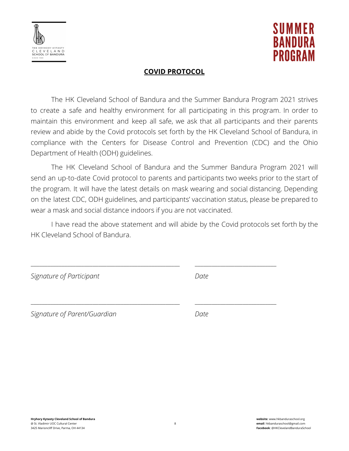



### **COVID PROTOCOL**

The HK Cleveland School of Bandura and the Summer Bandura Program 2021 strives to create a safe and healthy environment for all participating in this program. In order to maintain this environment and keep all safe, we ask that all participants and their parents review and abide by the Covid protocols set forth by the HK Cleveland School of Bandura, in compliance with the Centers for Disease Control and Prevention (CDC) and the Ohio Department of Health (ODH) guidelines.

The HK Cleveland School of Bandura and the Summer Bandura Program 2021 will send an up-to-date Covid protocol to parents and participants two weeks prior to the start of the program. It will have the latest details on mask wearing and social distancing. Depending on the latest CDC, ODH guidelines, and participants' vaccination status, please be prepared to wear a mask and social distance indoors if you are not vaccinated.

I have read the above statement and will abide by the Covid protocols set forth by the HK Cleveland School of Bandura.

\_\_\_\_\_\_\_\_\_\_\_\_\_\_\_\_\_\_\_\_\_\_\_\_\_\_\_\_\_\_\_\_\_\_\_\_\_\_\_\_\_\_\_\_\_\_\_\_\_\_\_\_\_ \_\_\_\_\_\_\_\_\_\_\_\_\_\_\_\_\_\_\_\_\_\_\_\_\_\_\_\_\_

\_\_\_\_\_\_\_\_\_\_\_\_\_\_\_\_\_\_\_\_\_\_\_\_\_\_\_\_\_\_\_\_\_\_\_\_\_\_\_\_\_\_\_\_\_\_\_\_\_\_\_\_\_ \_\_\_\_\_\_\_\_\_\_\_\_\_\_\_\_\_\_\_\_\_\_\_\_\_\_\_\_\_

*Signature of Participant Date*

*Signature of Parent/Guardian Date*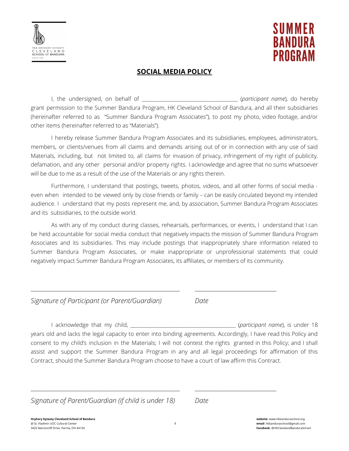



#### **SOCIAL MEDIA POLICY**

I, the undersigned, on behalf of the same of the same of the same of the same of the same of the same of the same of the same of the same of the same of the same of the same of the same of the same of the same of the same grant permission to the Summer Bandura Program, HK Cleveland School of Bandura, and all their subsidiaries (hereinafter referred to as "Summer Bandura Program Associates"), to post my photo, video footage, and/or other items (hereinafter referred to as "Materials").

I hereby release Summer Bandura Program Associates and its subsidiaries, employees, administrators, members, or clients/venues from all claims and demands arising out of or in connection with any use of said Materials, including, but not limited to, all claims for invasion of privacy, infringement of my right of publicity, defamation, and any other personal and/or property rights. I acknowledge and agree that no sums whatsoever will be due to me as a result of the use of the Materials or any rights therein.

Furthermore, I understand that postings, tweets, photos, videos, and all other forms of social media even when intended to be viewed only by close friends or family – can be easily circulated beyond my intended audience. I understand that my posts represent me, and, by association, Summer Bandura Program Associates and its subsidiaries, to the outside world.

As with any of my conduct during classes, rehearsals, performances, or events, I understand that I can be held accountable for social media conduct that negatively impacts the mission of Summer Bandura Program Associates and its subsidiaries. This may include postings that inappropriately share information related to Summer Bandura Program Associates, or make inappropriate or unprofessional statements that could negatively impact Summer Bandura Program Associates, its affiliates, or members of its community.

\_\_\_\_\_\_\_\_\_\_\_\_\_\_\_\_\_\_\_\_\_\_\_\_\_\_\_\_\_\_\_\_\_\_\_\_\_\_\_\_\_\_\_\_\_\_\_\_\_\_\_\_\_ \_\_\_\_\_\_\_\_\_\_\_\_\_\_\_\_\_\_\_\_\_\_\_\_\_\_\_\_\_

\_\_\_\_\_\_\_\_\_\_\_\_\_\_\_\_\_\_\_\_\_\_\_\_\_\_\_\_\_\_\_\_\_\_\_\_\_\_\_\_\_\_\_\_\_\_\_\_\_\_\_\_\_ \_\_\_\_\_\_\_\_\_\_\_\_\_\_\_\_\_\_\_\_\_\_\_\_\_\_\_\_\_

*Signature of Participant (or Parent/Guardian) Date*

I acknowledge that my child, \_\_\_\_\_\_\_\_\_\_\_\_\_\_\_\_\_\_\_\_\_\_\_\_\_\_\_\_\_\_\_\_\_\_\_\_\_\_\_\_\_\_\_\_\_ (*participant name*), is under 18 years old and lacks the legal capacity to enter into binding agreements. Accordingly, I have read this Policy and consent to my child's inclusion in the Materials; I will not contest the rights granted in this Policy; and I shall assist and support the Summer Bandura Program in any and all legal proceedings for affirmation of this Contract, should the Summer Bandura Program choose to have a court of law affirm this Contract.

*Signature of Parent/Guardian (if child is under 18) Date*